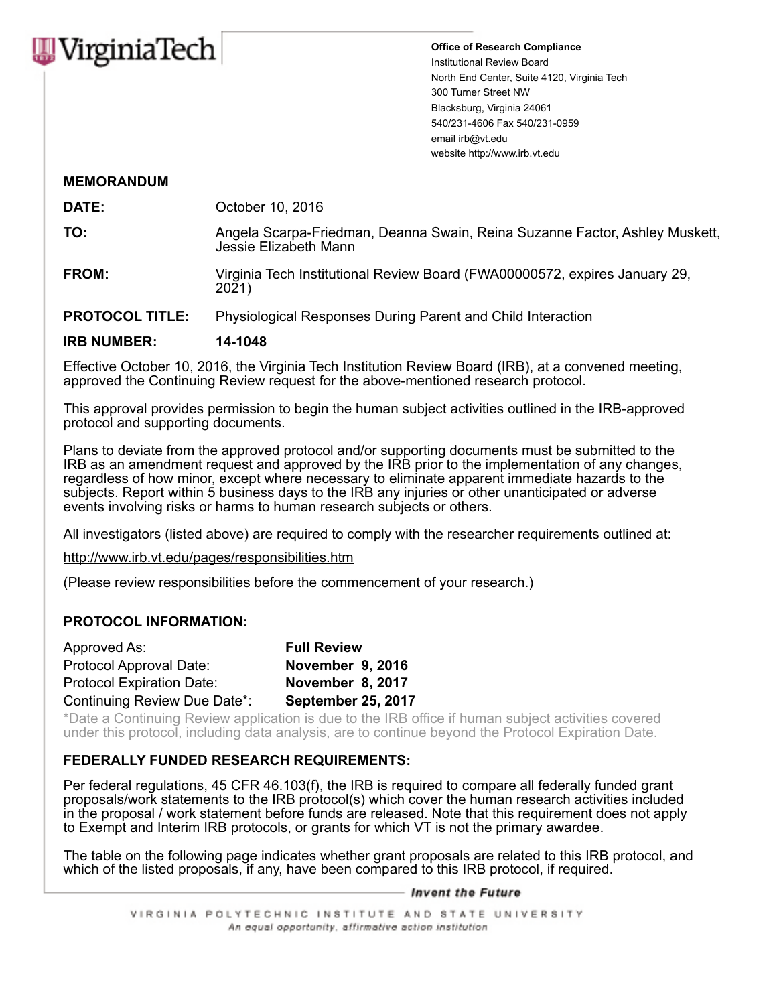

**Office of Research Compliance** Institutional Review Board North End Center, Suite 4120, Virginia Tech 300 Turner Street NW Blacksburg, Virginia 24061 540/231-4606 Fax 540/231-0959 email irb@vt.edu website http://www.irb.vt.edu

# **MEMORANDUM**

**DATE:** October 10, 2016

**TO:** Angela Scarpa-Friedman, Deanna Swain, Reina Suzanne Factor, Ashley Muskett, Jessie Elizabeth Mann

**FROM:** Virginia Tech Institutional Review Board (FWA00000572, expires January 29, 2021)

**PROTOCOL TITLE:** Physiological Responses During Parent and Child Interaction

# **IRB NUMBER: 14-1048**

Effective October 10, 2016, the Virginia Tech Institution Review Board (IRB), at a convened meeting, approved the Continuing Review request for the above-mentioned research protocol.

This approval provides permission to begin the human subject activities outlined in the IRB-approved protocol and supporting documents.

Plans to deviate from the approved protocol and/or supporting documents must be submitted to the IRB as an amendment request and approved by the IRB prior to the implementation of any changes, regardless of how minor, except where necessary to eliminate apparent immediate hazards to the subjects. Report within 5 business days to the IRB any injuries or other unanticipated or adverse events involving risks or harms to human research subjects or others.

All investigators (listed above) are required to comply with the researcher requirements outlined at:

http://www.irb.vt.edu/pages/responsibilities.htm

(Please review responsibilities before the commencement of your research.)

### **PROTOCOL INFORMATION:**

| Approved As:                     | <b>Full Review</b>        |
|----------------------------------|---------------------------|
| Protocol Approval Date:          | November 9, 2016          |
| <b>Protocol Expiration Date:</b> | November 8, 2017          |
| Continuing Review Due Date*:     | <b>September 25, 2017</b> |

\*Date a Continuing Review application is due to the IRB office if human subject activities covered under this protocol, including data analysis, are to continue beyond the Protocol Expiration Date.

# **FEDERALLY FUNDED RESEARCH REQUIREMENTS:**

Per federal regulations, 45 CFR 46.103(f), the IRB is required to compare all federally funded grant proposals/work statements to the IRB protocol(s) which cover the human research activities included in the proposal / work statement before funds are released. Note that this requirement does not apply to Exempt and Interim IRB protocols, or grants for which VT is not the primary awardee.

The table on the following page indicates whether grant proposals are related to this IRB protocol, and which of the listed proposals, if any, have been compared to this IRB protocol, if required.

#### — Invent the Future